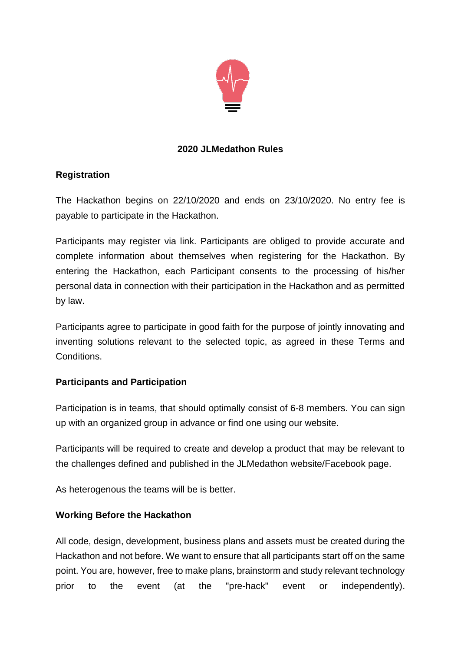

## **2020 JLMedathon Rules**

# **Registration**

The Hackathon begins on 22/10/2020 and ends on 23/10/2020. No entry fee is payable to participate in the Hackathon.

Participants may register via link. Participants are obliged to provide accurate and complete information about themselves when registering for the Hackathon. By entering the Hackathon, each Participant consents to the processing of his/her personal data in connection with their participation in the Hackathon and as permitted by law.

Participants agree to participate in good faith for the purpose of jointly innovating and inventing solutions relevant to the selected topic, as agreed in these Terms and Conditions.

## **Participants and Participation**

Participation is in teams, that should optimally consist of 6-8 members. You can sign up with an organized group in advance or find one using our website.

Participants will be required to create and develop a product that may be relevant to the challenges defined and published in the JLMedathon website/Facebook page.

As heterogenous the teams will be is better.

# **Working Before the Hackathon**

All code, design, development, business plans and assets must be created during the Hackathon and not before. We want to ensure that all participants start off on the same point. You are, however, free to make plans, brainstorm and study relevant technology prior to the event (at the "pre-hack" event or independently).